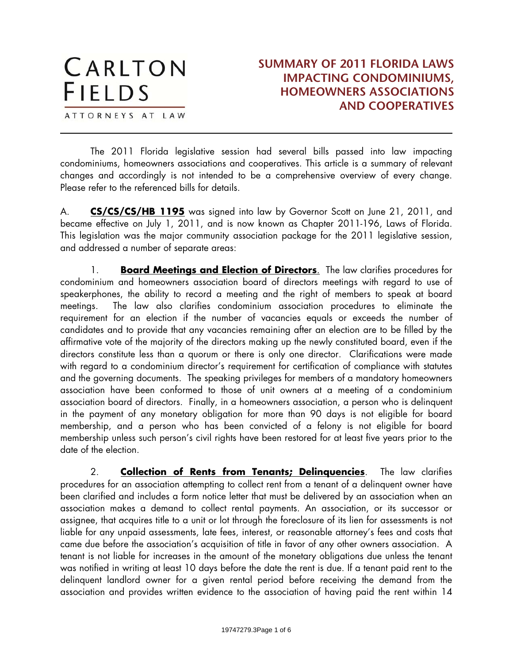ATTORNEYS AT LAW

 $\overline{a}$ 

The 2011 Florida legislative session had several bills passed into law impacting condominiums, homeowners associations and cooperatives. This article is a summary of relevant changes and accordingly is not intended to be a comprehensive overview of every change. Please refer to the referenced bills for details.

A. **CS/CS/CS/HB 1195** was signed into law by Governor Scott on June 21, 2011, and became effective on July 1, 2011, and is now known as Chapter 2011-196, Laws of Florida. This legislation was the major community association package for the 2011 legislative session, and addressed a number of separate areas:

1. **Board Meetings and Election of Directors**. The law clarifies procedures for condominium and homeowners association board of directors meetings with regard to use of speakerphones, the ability to record a meeting and the right of members to speak at board meetings. The law also clarifies condominium association procedures to eliminate the requirement for an election if the number of vacancies equals or exceeds the number of candidates and to provide that any vacancies remaining after an election are to be filled by the affirmative vote of the majority of the directors making up the newly constituted board, even if the directors constitute less than a quorum or there is only one director. Clarifications were made with regard to a condominium director's requirement for certification of compliance with statutes and the governing documents. The speaking privileges for members of a mandatory homeowners association have been conformed to those of unit owners at a meeting of a condominium association board of directors. Finally, in a homeowners association, a person who is delinquent in the payment of any monetary obligation for more than 90 days is not eligible for board membership, and a person who has been convicted of a felony is not eligible for board membership unless such person's civil rights have been restored for at least five years prior to the date of the election.

2. **Collection of Rents from Tenants; Delinquencies**. The law clarifies procedures for an association attempting to collect rent from a tenant of a delinquent owner have been clarified and includes a form notice letter that must be delivered by an association when an association makes a demand to collect rental payments. An association, or its successor or assignee, that acquires title to a unit or lot through the foreclosure of its lien for assessments is not liable for any unpaid assessments, late fees, interest, or reasonable attorney's fees and costs that came due before the association's acquisition of title in favor of any other owners association. A tenant is not liable for increases in the amount of the monetary obligations due unless the tenant was notified in writing at least 10 days before the date the rent is due. If a tenant paid rent to the delinquent landlord owner for a given rental period before receiving the demand from the association and provides written evidence to the association of having paid the rent within 14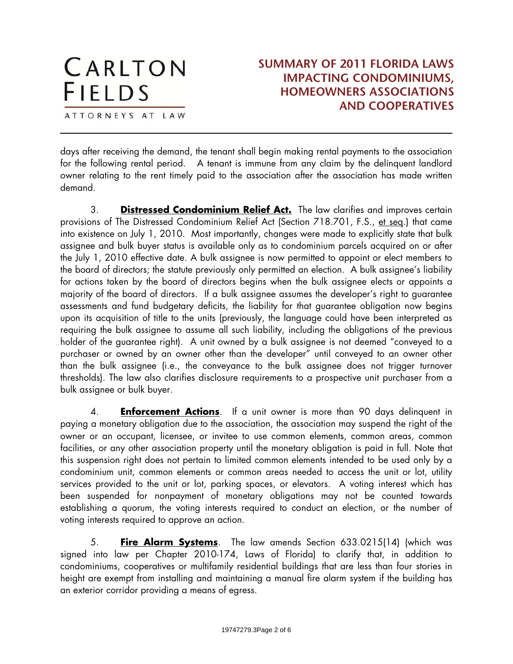ATTORNEYS AT LAW

 $\overline{a}$ 

#### **SUMMARY OF 2011 FLORIDA LAWS IMPACTING CONDOMINIUMS, HOMEOWNERS ASSOCIATIONS AND COOPERATIVES**

days after receiving the demand, the tenant shall begin making rental payments to the association for the following rental period. A tenant is immune from any claim by the delinquent landlord owner relating to the rent timely paid to the association after the association has made written demand.

3. **Distressed Condominium Relief Act.** The law clarifies and improves certain provisions of The Distressed Condominium Relief Act (Section 718.701, F.S., et seq.) that came into existence on July 1, 2010. Most importantly, changes were made to explicitly state that bulk assignee and bulk buyer status is available only as to condominium parcels acquired on or after the July 1, 2010 effective date. A bulk assignee is now permitted to appoint or elect members to the board of directors; the statute previously only permitted an election. A bulk assignee's liability for actions taken by the board of directors begins when the bulk assignee elects or appoints a majority of the board of directors. If a bulk assignee assumes the developer's right to guarantee assessments and fund budgetary deficits, the liability for that guarantee obligation now begins upon its acquisition of title to the units (previously, the language could have been interpreted as requiring the bulk assignee to assume all such liability, including the obligations of the previous holder of the guarantee right). A unit owned by a bulk assignee is not deemed "conveyed to a purchaser or owned by an owner other than the developer" until conveyed to an owner other than the bulk assignee (i.e., the conveyance to the bulk assignee does not trigger turnover thresholds). The law also clarifies disclosure requirements to a prospective unit purchaser from a bulk assignee or bulk buyer.

4. **Enforcement Actions**. If a unit owner is more than 90 days delinquent in paying a monetary obligation due to the association, the association may suspend the right of the owner or an occupant, licensee, or invitee to use common elements, common areas, common facilities, or any other association property until the monetary obligation is paid in full. Note that this suspension right does not pertain to limited common elements intended to be used only by a condominium unit, common elements or common areas needed to access the unit or lot, utility services provided to the unit or lot, parking spaces, or elevators. A voting interest which has been suspended for nonpayment of monetary obligations may not be counted towards establishing a quorum, the voting interests required to conduct an election, or the number of voting interests required to approve an action.

5. **Fire Alarm Systems**. The law amends Section 633.0215(14) (which was signed into law per Chapter 2010-174, Laws of Florida) to clarify that, in addition to condominiums, cooperatives or multifamily residential buildings that are less than four stories in height are exempt from installing and maintaining a manual fire alarm system if the building has an exterior corridor providing a means of egress.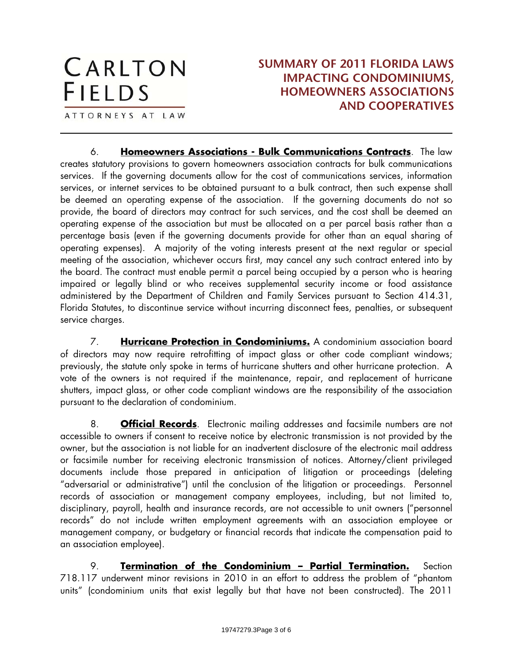#### **SUMMARY OF 2011 FLORIDA LAWS IMPACTING CONDOMINIUMS, HOMEOWNERS ASSOCIATIONS AND COOPERATIVES**

ATTORNEYS AT LAW

 $\overline{a}$ 

6. **Homeowners Associations - Bulk Communications Contracts**. The law creates statutory provisions to govern homeowners association contracts for bulk communications services. If the governing documents allow for the cost of communications services, information services, or internet services to be obtained pursuant to a bulk contract, then such expense shall be deemed an operating expense of the association. If the governing documents do not so provide, the board of directors may contract for such services, and the cost shall be deemed an operating expense of the association but must be allocated on a per parcel basis rather than a percentage basis (even if the governing documents provide for other than an equal sharing of operating expenses). A majority of the voting interests present at the next regular or special meeting of the association, whichever occurs first, may cancel any such contract entered into by the board. The contract must enable permit a parcel being occupied by a person who is hearing impaired or legally blind or who receives supplemental security income or food assistance administered by the Department of Children and Family Services pursuant to Section 414.31, Florida Statutes, to discontinue service without incurring disconnect fees, penalties, or subsequent service charges.

7. **Hurricane Protection in Condominiums.** A condominium association board of directors may now require retrofitting of impact glass or other code compliant windows; previously, the statute only spoke in terms of hurricane shutters and other hurricane protection. A vote of the owners is not required if the maintenance, repair, and replacement of hurricane shutters, impact glass, or other code compliant windows are the responsibility of the association pursuant to the declaration of condominium.

8. **Official Records**. Electronic mailing addresses and facsimile numbers are not accessible to owners if consent to receive notice by electronic transmission is not provided by the owner, but the association is not liable for an inadvertent disclosure of the electronic mail address or facsimile number for receiving electronic transmission of notices. Attorney/client privileged documents include those prepared in anticipation of litigation or proceedings (deleting "adversarial or administrative") until the conclusion of the litigation or proceedings. Personnel records of association or management company employees, including, but not limited to, disciplinary, payroll, health and insurance records, are not accessible to unit owners ("personnel records" do not include written employment agreements with an association employee or management company, or budgetary or financial records that indicate the compensation paid to an association employee).

9. **Termination of the Condominium – Partial Termination.** Section 718.117 underwent minor revisions in 2010 in an effort to address the problem of "phantom units" (condominium units that exist legally but that have not been constructed). The 2011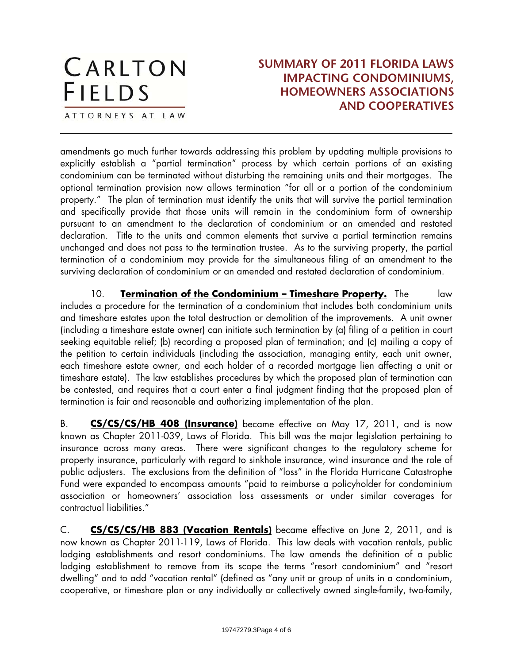ATTORNEYS AT LAW

 $\overline{a}$ 

#### **SUMMARY OF 2011 FLORIDA LAWS IMPACTING CONDOMINIUMS, HOMEOWNERS ASSOCIATIONS AND COOPERATIVES**

amendments go much further towards addressing this problem by updating multiple provisions to explicitly establish a "partial termination" process by which certain portions of an existing condominium can be terminated without disturbing the remaining units and their mortgages. The optional termination provision now allows termination "for all or a portion of the condominium property." The plan of termination must identify the units that will survive the partial termination and specifically provide that those units will remain in the condominium form of ownership pursuant to an amendment to the declaration of condominium or an amended and restated declaration. Title to the units and common elements that survive a partial termination remains unchanged and does not pass to the termination trustee. As to the surviving property, the partial termination of a condominium may provide for the simultaneous filing of an amendment to the surviving declaration of condominium or an amended and restated declaration of condominium.

10. **Termination of the Condominium – Timeshare Property.** The law includes a procedure for the termination of a condominium that includes both condominium units and timeshare estates upon the total destruction or demolition of the improvements. A unit owner (including a timeshare estate owner) can initiate such termination by (a) filing of a petition in court seeking equitable relief; (b) recording a proposed plan of termination; and (c) mailing a copy of the petition to certain individuals (including the association, managing entity, each unit owner, each timeshare estate owner, and each holder of a recorded mortgage lien affecting a unit or timeshare estate). The law establishes procedures by which the proposed plan of termination can be contested, and requires that a court enter a final judgment finding that the proposed plan of termination is fair and reasonable and authorizing implementation of the plan.

B. **CS/CS/CS/HB 408 (Insurance)** became effective on May 17, 2011, and is now known as Chapter 2011-039, Laws of Florida. This bill was the major legislation pertaining to insurance across many areas. There were significant changes to the regulatory scheme for property insurance, particularly with regard to sinkhole insurance, wind insurance and the role of public adjusters. The exclusions from the definition of "loss" in the Florida Hurricane Catastrophe Fund were expanded to encompass amounts "paid to reimburse a policyholder for condominium association or homeowners' association loss assessments or under similar coverages for contractual liabilities."

C. **CS/CS/CS/HB 883 (Vacation Rentals)** became effective on June 2, 2011, and is now known as Chapter 2011-119, Laws of Florida. This law deals with vacation rentals, public lodging establishments and resort condominiums. The law amends the definition of a public lodging establishment to remove from its scope the terms "resort condominium" and "resort dwelling" and to add "vacation rental" (defined as "any unit or group of units in a condominium, cooperative, or timeshare plan or any individually or collectively owned single-family, two-family,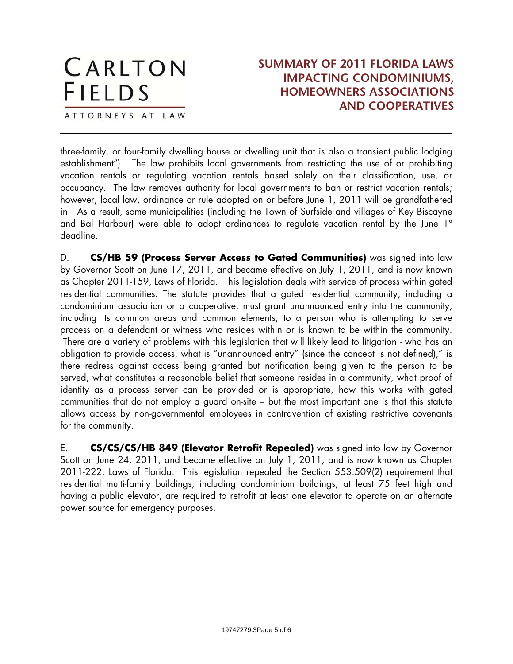#### CARLTON **SUMMARY OF 2011 FLORIDA LAWS IMPACTING CONDOMINIUMS, FIELDS HOMEOWNERS ASSOCIATIONS AND COOPERATIVES** ATTORNEYS AT LAW  $\overline{a}$

three-family, or four-family dwelling house or dwelling unit that is also a transient public lodging establishment"). The law prohibits local governments from restricting the use of or prohibiting vacation rentals or regulating vacation rentals based solely on their classification, use, or occupancy. The law removes authority for local governments to ban or restrict vacation rentals; however, local law, ordinance or rule adopted on or before June 1, 2011 will be grandfathered in. As a result, some municipalities (including the Town of Surfside and villages of Key Biscayne and Bal Harbour) were able to adopt ordinances to regulate vacation rental by the June 1st deadline.

D. **CS/HB 59 (Process Server Access to Gated Communities)** was signed into law by Governor Scott on June 17, 2011, and became effective on July 1, 2011, and is now known as Chapter 2011-159, Laws of Florida. This legislation deals with service of process within gated residential communities. The statute provides that a gated residential community, including a condominium association or a cooperative, must grant unannounced entry into the community, including its common areas and common elements, to a person who is attempting to serve process on a defendant or witness who resides within or is known to be within the community. There are a variety of problems with this legislation that will likely lead to litigation - who has an obligation to provide access, what is "unannounced entry" (since the concept is not defined)," is there redress against access being granted but notification being given to the person to be served, what constitutes a reasonable belief that someone resides in a community, what proof of identity as a process server can be provided or is appropriate, how this works with gated communities that do not employ a guard on-site – but the most important one is that this statute allows access by non-governmental employees in contravention of existing restrictive covenants for the community.

E. **CS/CS/CS/HB 849 (Elevator Retrofit Repealed)** was signed into law by Governor Scott on June 24, 2011, and became effective on July 1, 2011, and is now known as Chapter 2011-222, Laws of Florida. This legislation repealed the Section 553.509(2) requirement that residential multi-family buildings, including condominium buildings, at least 75 feet high and having a public elevator, are required to retrofit at least one elevator to operate on an alternate power source for emergency purposes.